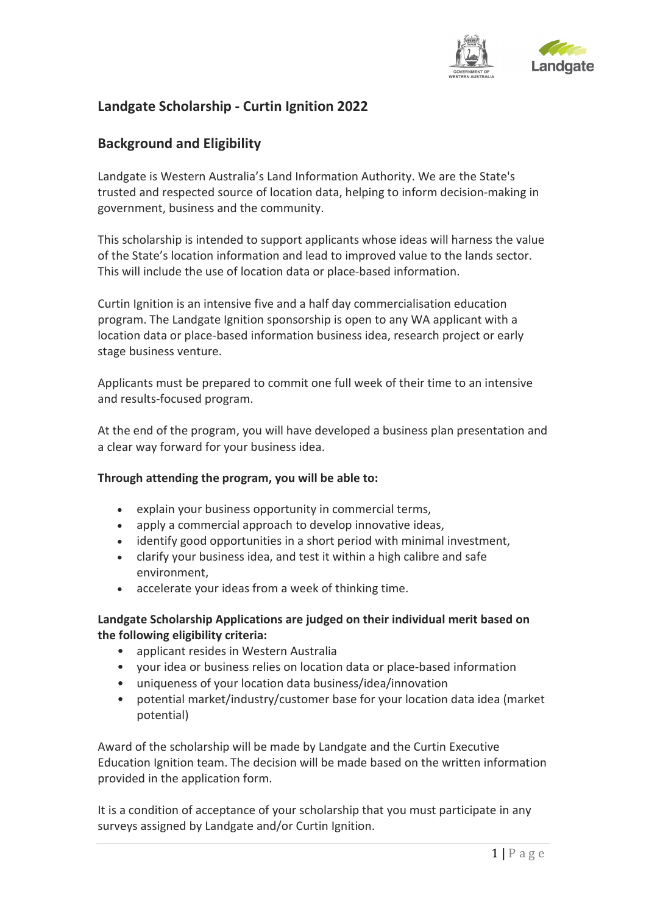

# **Landgate Scholarship - Curtin Ignition 2022**

## **Background and Eligibility**

Landgate is Western Australia's Land Information Authority. We are the State's trusted and respected source of location data, helping to inform decision-making in government, business and the community.

This scholarship is intended to support applicants whose ideas will harness the value of the State's location information and lead to improved value to the lands sector. This will include the use of location data or place-based information.

Curtin Ignition is an intensive five and a half day commercialisation education program. The Landgate Ignition sponsorship is open to any WA applicant with a location data or place-based information business idea, research project or early stage business venture.

Applicants must be prepared to commit one full week of their time to an intensive and results-focused program.

At the end of the program, you will have developed a business plan presentation and a clear way forward for your business idea.

#### **Through attending the program, you will be able to:**

- explain your business opportunity in commercial terms,
- apply a commercial approach to develop innovative ideas,
- identify good opportunities in a short period with minimal investment,
- clarify your business idea, and test it within a high calibre and safe environment,
- accelerate your ideas from a week of thinking time.

#### **Landgate Scholarship Applications are judged on their individual merit based on the following eligibility criteria:**

- applicant resides in Western Australia
- your idea or business relies on location data or place-based information
- uniqueness of your location data business/idea/innovation
- potential market/industry/customer base for your location data idea (market potential)

Award of the scholarship will be made by Landgate and the Curtin Executive Education Ignition team. The decision will be made based on the written information provided in the application form.

It is a condition of acceptance of your scholarship that you must participate in any surveys assigned by Landgate and/or Curtin Ignition.